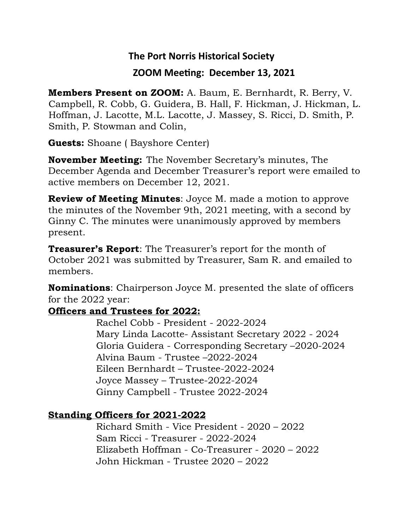## **The Port Norris Historical Society**

### **ZOOM Meeting: December 13, 2021**

**Members Present on ZOOM:** A. Baum, E. Bernhardt, R. Berry, V. Campbell, R. Cobb, G. Guidera, B. Hall, F. Hickman, J. Hickman, L. Hoffman, J. Lacotte, M.L. Lacotte, J. Massey, S. Ricci, D. Smith, P. Smith, P. Stowman and Colin,

**Guests:** Shoane ( Bayshore Center)

**November Meeting:** The November Secretary's minutes, The December Agenda and December Treasurer's report were emailed to active members on December 12, 2021.

**Review of Meeting Minutes**: Joyce M. made a motion to approve the minutes of the November 9th, 2021 meeting, with a second by Ginny C. The minutes were unanimously approved by members present.

**Treasurer's Report**: The Treasurer's report for the month of October 2021 was submitted by Treasurer, Sam R. and emailed to members.

**Nominations**: Chairperson Joyce M. presented the slate of officers for the 2022 year:

#### **Officers and Trustees for 2022:**

 Rachel Cobb - President - 2022-2024 Mary Linda Lacotte- Assistant Secretary 2022 - 2024 Gloria Guidera - Corresponding Secretary –2020-2024 Alvina Baum - Trustee –2022-2024 Eileen Bernhardt – Trustee-2022-2024 Joyce Massey – Trustee-2022-2024 Ginny Campbell - Trustee 2022-2024

## **Standing Officers for 2021-2022**

 Richard Smith - Vice President - 2020 – 2022 Sam Ricci - Treasurer - 2022-2024 Elizabeth Hoffman - Co-Treasurer - 2020 – 2022 John Hickman - Trustee 2020 – 2022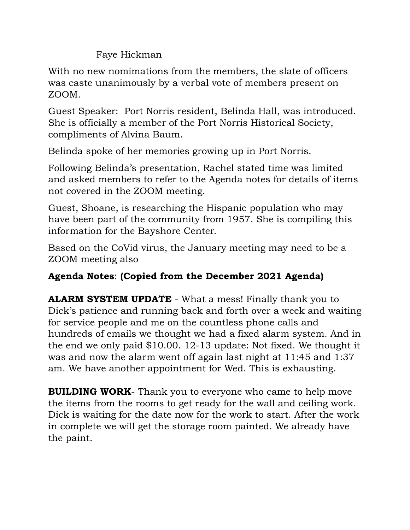Faye Hickman

With no new nomimations from the members, the slate of officers was caste unanimously by a verbal vote of members present on ZOOM.

Guest Speaker: Port Norris resident, Belinda Hall, was introduced. She is officially a member of the Port Norris Historical Society, compliments of Alvina Baum.

Belinda spoke of her memories growing up in Port Norris.

Following Belinda's presentation, Rachel stated time was limited and asked members to refer to the Agenda notes for details of items not covered in the ZOOM meeting.

Guest, Shoane, is researching the Hispanic population who may have been part of the community from 1957. She is compiling this information for the Bayshore Center.

Based on the CoVid virus, the January meeting may need to be a ZOOM meeting also

# **Agenda Notes**: **(Copied from the December 2021 Agenda)**

**ALARM SYSTEM UPDATE** - What a mess! Finally thank you to Dick's patience and running back and forth over a week and waiting for service people and me on the countless phone calls and hundreds of emails we thought we had a fixed alarm system. And in the end we only paid \$10.00. 12-13 update: Not fixed. We thought it was and now the alarm went off again last night at 11:45 and 1:37 am. We have another appointment for Wed. This is exhausting.

**BUILDING WORK**- Thank you to everyone who came to help move the items from the rooms to get ready for the wall and ceiling work. Dick is waiting for the date now for the work to start. After the work in complete we will get the storage room painted. We already have the paint.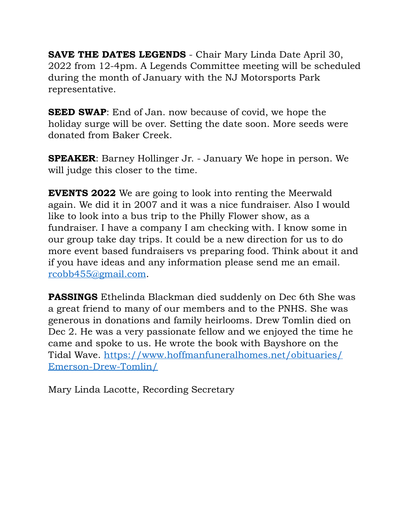**SAVE THE DATES LEGENDS** - Chair Mary Linda Date April 30, 2022 from 12-4pm. A Legends Committee meeting will be scheduled during the month of January with the NJ Motorsports Park representative.

**SEED SWAP:** End of Jan. now because of covid, we hope the holiday surge will be over. Setting the date soon. More seeds were donated from Baker Creek.

**SPEAKER**: Barney Hollinger Jr. - January We hope in person. We will judge this closer to the time.

**EVENTS 2022** We are going to look into renting the Meerwald again. We did it in 2007 and it was a nice fundraiser. Also I would like to look into a bus trip to the Philly Flower show, as a fundraiser. I have a company I am checking with. I know some in our group take day trips. It could be a new direction for us to do more event based fundraisers vs preparing food. Think about it and if you have ideas and any information please send me an email. [rcobb455@gmail.com](mailto:rcobb455@gmail.com).

**PASSINGS** Ethelinda Blackman died suddenly on Dec 6th She was a great friend to many of our members and to the PNHS. She was generous in donations and family heirlooms. Drew Tomlin died on Dec 2. He was a very passionate fellow and we enjoyed the time he came and spoke to us. He wrote the book with Bayshore on the [Tidal Wave. https://www.hoffmanfuneralhomes.net/obituaries/](https://www.hoffmanfuneralhomes.net/obituaries/Emerson-Drew-Tomlin/) [Emerson-Drew-Tomlin/](https://www.hoffmanfuneralhomes.net/obituaries/Emerson-Drew-Tomlin/)

Mary Linda Lacotte, Recording Secretary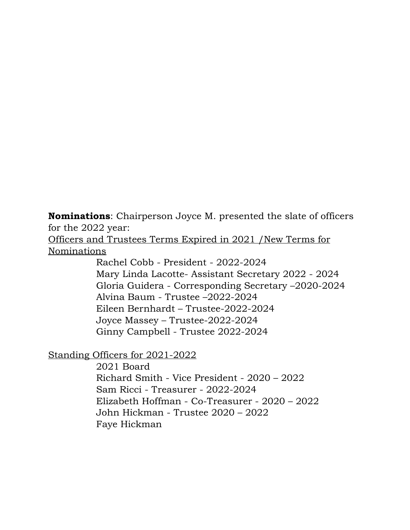**Nominations**: Chairperson Joyce M. presented the slate of officers for the 2022 year:

Officers and Trustees Terms Expired in 2021 /New Terms for Nominations

> Rachel Cobb - President - 2022-2024 Mary Linda Lacotte- Assistant Secretary 2022 - 2024 Gloria Guidera - Corresponding Secretary –2020-2024 Alvina Baum - Trustee –2022-2024 Eileen Bernhardt – Trustee-2022-2024 Joyce Massey – Trustee-2022-2024 Ginny Campbell - Trustee 2022-2024

Standing Officers for 2021-2022

 2021 Board Richard Smith - Vice President - 2020 – 2022 Sam Ricci - Treasurer - 2022-2024 Elizabeth Hoffman - Co-Treasurer - 2020 – 2022 John Hickman - Trustee 2020 – 2022 Faye Hickman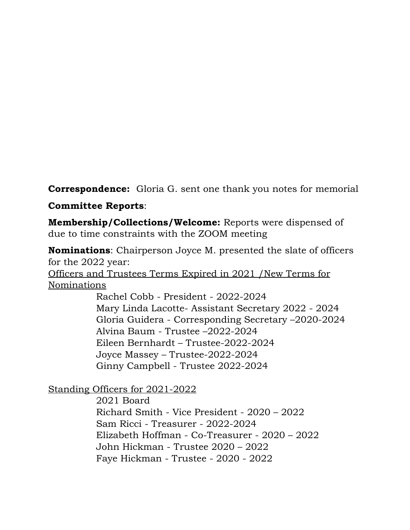**Correspondence:** Gloria G. sent one thank you notes for memorial

### **Committee Reports**:

**Membership/Collections/Welcome:** Reports were dispensed of due to time constraints with the ZOOM meeting

**Nominations**: Chairperson Joyce M. presented the slate of officers for the 2022 year: Officers and Trustees Terms Expired in 2021 /New Terms for Nominations

 Rachel Cobb - President - 2022-2024 Mary Linda Lacotte- Assistant Secretary 2022 - 2024 Gloria Guidera - Corresponding Secretary –2020-2024 Alvina Baum - Trustee –2022-2024 Eileen Bernhardt – Trustee-2022-2024 Joyce Massey – Trustee-2022-2024 Ginny Campbell - Trustee 2022-2024

Standing Officers for 2021-2022

 2021 Board Richard Smith - Vice President - 2020 – 2022 Sam Ricci - Treasurer - 2022-2024 Elizabeth Hoffman - Co-Treasurer - 2020 – 2022 John Hickman - Trustee 2020 – 2022 Faye Hickman - Trustee - 2020 - 2022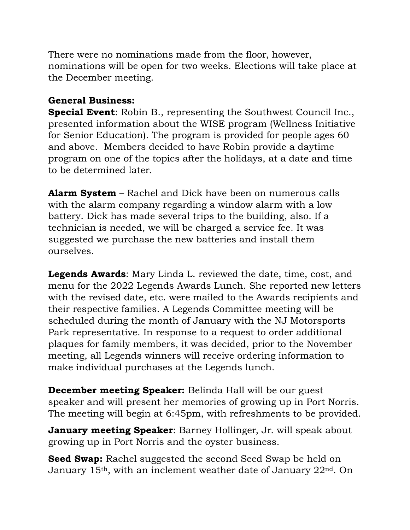There were no nominations made from the floor, however, nominations will be open for two weeks. Elections will take place at the December meeting.

## **General Business:**

**Special Event**: Robin B., representing the Southwest Council Inc., presented information about the WISE program (Wellness Initiative for Senior Education). The program is provided for people ages 60 and above. Members decided to have Robin provide a daytime program on one of the topics after the holidays, at a date and time to be determined later.

**Alarm System** – Rachel and Dick have been on numerous calls with the alarm company regarding a window alarm with a low battery. Dick has made several trips to the building, also. If a technician is needed, we will be charged a service fee. It was suggested we purchase the new batteries and install them ourselves.

**Legends Awards**: Mary Linda L. reviewed the date, time, cost, and menu for the 2022 Legends Awards Lunch. She reported new letters with the revised date, etc. were mailed to the Awards recipients and their respective families. A Legends Committee meeting will be scheduled during the month of January with the NJ Motorsports Park representative. In response to a request to order additional plaques for family members, it was decided, prior to the November meeting, all Legends winners will receive ordering information to make individual purchases at the Legends lunch.

**December meeting Speaker:** Belinda Hall will be our guest speaker and will present her memories of growing up in Port Norris. The meeting will begin at 6:45pm, with refreshments to be provided.

**January meeting Speaker**: Barney Hollinger, Jr. will speak about growing up in Port Norris and the oyster business.

**Seed Swap:** Rachel suggested the second Seed Swap be held on January 15th, with an inclement weather date of January 22nd. On